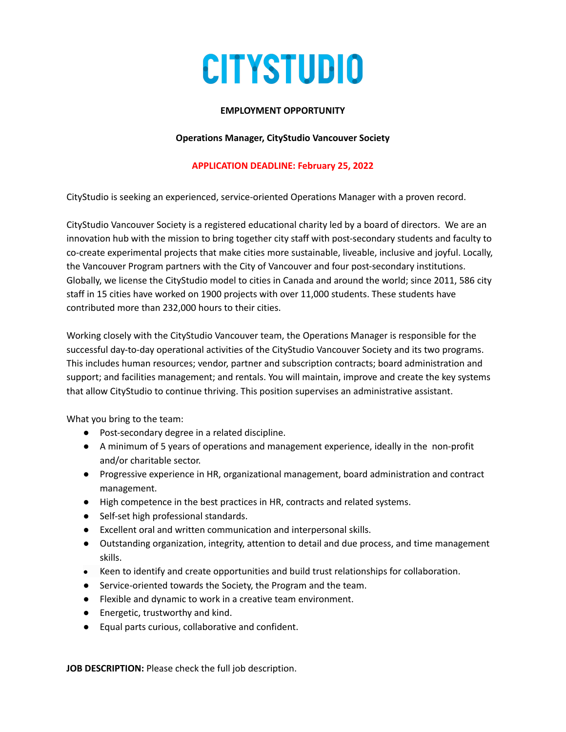# **CITYSTUDIO**

### **EMPLOYMENT OPPORTUNITY**

#### **Operations Manager, CityStudio Vancouver Society**

## **APPLICATION DEADLINE: February 25, 2022**

CityStudio is seeking an experienced, service-oriented Operations Manager with a proven record.

CityStudio Vancouver Society is a registered educational charity led by a board of directors. We are an innovation hub with the mission to bring together city staff with post-secondary students and faculty to co-create experimental projects that make cities more sustainable, liveable, inclusive and joyful. Locally, the Vancouver Program partners with the City of Vancouver and four post-secondary institutions. Globally, we license the CityStudio model to cities in Canada and around the world; since 2011, 586 city staff in 15 cities have worked on 1900 projects with over 11,000 students. These students have contributed more than 232,000 hours to their cities.

Working closely with the CityStudio Vancouver team, the Operations Manager is responsible for the successful day-to-day operational activities of the CityStudio Vancouver Society and its two programs. This includes human resources; vendor, partner and subscription contracts; board administration and support; and facilities management; and rentals. You will maintain, improve and create the key systems that allow CityStudio to continue thriving. This position supervises an administrative assistant.

What you bring to the team:

- Post-secondary degree in a related discipline.
- A minimum of 5 years of operations and management experience, ideally in the non-profit and/or charitable sector.
- Progressive experience in HR, organizational management, board administration and contract management.
- High competence in the best practices in HR, contracts and related systems.
- Self-set high professional standards.
- Excellent oral and written communication and interpersonal skills.
- Outstanding organization, integrity, attention to detail and due process, and time management skills.
- Keen to identify and create opportunities and build trust relationships for collaboration.
- Service-oriented towards the Society, the Program and the team.
- Flexible and dynamic to work in a creative team environment.
- Energetic, trustworthy and kind.
- Equal parts curious, collaborative and confident.

**JOB DESCRIPTION:** Please check the full job description.